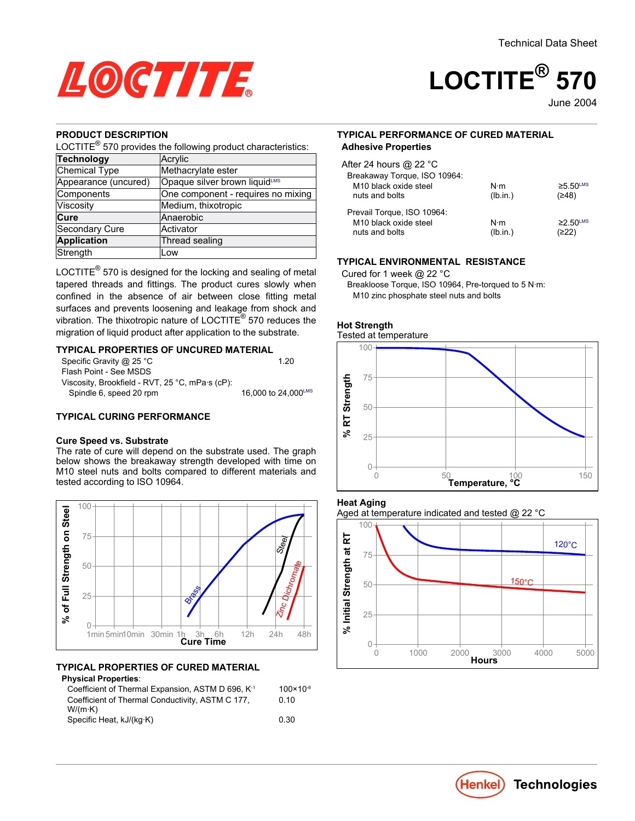

# **LOCTITE® 570**

June-2004

## **PRODUCT DESCRIPTION**

LOCTITE $^{\circledR}$  570 provides the following product characteristics:

| <b>Technology</b>     | Acrylic                            |  |  |
|-----------------------|------------------------------------|--|--|
| Chemical Type         | Methacrylate ester                 |  |  |
| Appearance (uncured)  | Opaque silver brown liquidLMS      |  |  |
| Components            | One component - requires no mixing |  |  |
| Viscosity             | Medium, thixotropic                |  |  |
| Cure                  | Anaerobic                          |  |  |
| <b>Secondary Cure</b> | Activator                          |  |  |
| <b>Application</b>    | Thread sealing                     |  |  |
| Strength              | Low                                |  |  |

LOCTITE $^{\circledR}$  570 is designed for the locking and sealing of metal tapered threads and fittings. The product cures slowly when confined in the absence of air between close fitting metal surfaces and prevents loosening and leakage from shock and vibration. The thixotropic nature of LOCTITE® 570 reduces the migration of liquid product after application to the substrate.

#### **TYPICAL PROPERTIES OF UNCURED MATERIAL**

| Specific Gravity @ 25 °C                        | 1 20                |
|-------------------------------------------------|---------------------|
| Flash Point - See MSDS                          |                     |
| Viscosity, Brookfield - RVT, 25 °C, mPa·s (cP): |                     |
| Spindle 6, speed 20 rpm                         | 16,000 to 24,000LMS |

## **TYPICAL CURING PERFORMANCE**

#### **Cure Speed vs. Substrate**

The rate of cure will depend on the substrate used. The graph below shows the breakaway strength developed with time on M10 steel nuts and bolts compared to different materials and tested according to ISO 10964.



## **TYPICAL PROPERTIES OF CURED MATERIAL**

#### **Physical Properties**:

| Coefficient of Thermal Expansion, ASTM D 696, K <sup>-1</sup> | $100 \times 10^{-6}$ |
|---------------------------------------------------------------|----------------------|
| Coefficient of Thermal Conductivity, ASTM C 177,              | 0.10                 |
| $W/(m \cdot K)$                                               |                      |
| Specific Heat, kJ/(kg·K)                                      | 0.30                 |
|                                                               |                      |

#### **TYPICAL PERFORMANCE OF CURED MATERIAL Adhesive Properties**

| After 24 hours @ 22 °C<br>Breakaway Torque, ISO 10964:<br>M <sub>10</sub> black oxide steel<br>nuts and bolts | $N \cdot m$<br>(lb.in.) | $≥5.50$ <sup>LMS</sup><br>(≥48)     |
|---------------------------------------------------------------------------------------------------------------|-------------------------|-------------------------------------|
| Prevail Torque, ISO 10964:<br>M <sub>10</sub> black oxide steel<br>nuts and bolts                             | $N \cdot m$<br>(lb.in.) | $\geq$ 2.50 <sup>LMS</sup><br>(≥22) |

## **TYPICAL ENVIRONMENTAL RESISTANCE**

Cured for 1 week @ 22 °C

Breakloose Torque, ISO 10964, Pre-torqued to 5 N·m: M10 zinc phosphate steel nuts and bolts



#### **Heat Aging**

Aged at temperature indicated and tested @ 22 °C